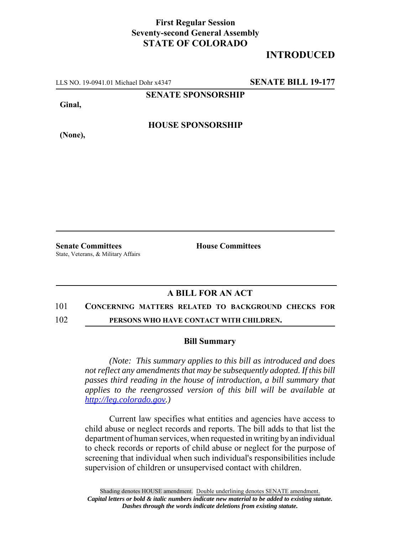## **First Regular Session Seventy-second General Assembly STATE OF COLORADO**

# **INTRODUCED**

LLS NO. 19-0941.01 Michael Dohr x4347 **SENATE BILL 19-177**

**SENATE SPONSORSHIP**

**Ginal,**

**HOUSE SPONSORSHIP**

**(None),**

**Senate Committees House Committees** State, Veterans, & Military Affairs

## **A BILL FOR AN ACT**

### 101 **CONCERNING MATTERS RELATED TO BACKGROUND CHECKS FOR**

102 **PERSONS WHO HAVE CONTACT WITH CHILDREN.**

#### **Bill Summary**

*(Note: This summary applies to this bill as introduced and does not reflect any amendments that may be subsequently adopted. If this bill passes third reading in the house of introduction, a bill summary that applies to the reengrossed version of this bill will be available at http://leg.colorado.gov.)*

Current law specifies what entities and agencies have access to child abuse or neglect records and reports. The bill adds to that list the department of human services, when requested in writing by an individual to check records or reports of child abuse or neglect for the purpose of screening that individual when such individual's responsibilities include supervision of children or unsupervised contact with children.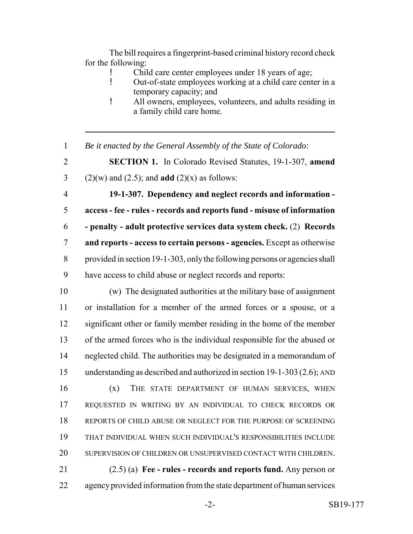The bill requires a fingerprint-based criminal history record check for the following:

- ! Child care center employees under 18 years of age;
- ! Out-of-state employees working at a child care center in a temporary capacity; and
- ! All owners, employees, volunteers, and adults residing in a family child care home.
- *Be it enacted by the General Assembly of the State of Colorado:*

 **SECTION 1.** In Colorado Revised Statutes, 19-1-307, **amend** 3 (2)(w) and (2.5); and **add** (2)(x) as follows:

 **19-1-307. Dependency and neglect records and information - access - fee - rules - records and reports fund - misuse of information - penalty - adult protective services data system check.** (2) **Records and reports - access to certain persons - agencies.** Except as otherwise provided in section 19-1-303, only the following persons or agencies shall have access to child abuse or neglect records and reports:

 (w) The designated authorities at the military base of assignment or installation for a member of the armed forces or a spouse, or a significant other or family member residing in the home of the member of the armed forces who is the individual responsible for the abused or neglected child. The authorities may be designated in a memorandum of understanding as described and authorized in section 19-1-303 (2.6); AND (x) THE STATE DEPARTMENT OF HUMAN SERVICES, WHEN REQUESTED IN WRITING BY AN INDIVIDUAL TO CHECK RECORDS OR REPORTS OF CHILD ABUSE OR NEGLECT FOR THE PURPOSE OF SCREENING THAT INDIVIDUAL WHEN SUCH INDIVIDUAL'S RESPONSIBILITIES INCLUDE SUPERVISION OF CHILDREN OR UNSUPERVISED CONTACT WITH CHILDREN.

 (2.5) (a) **Fee - rules - records and reports fund.** Any person or 22 agency provided information from the state department of human services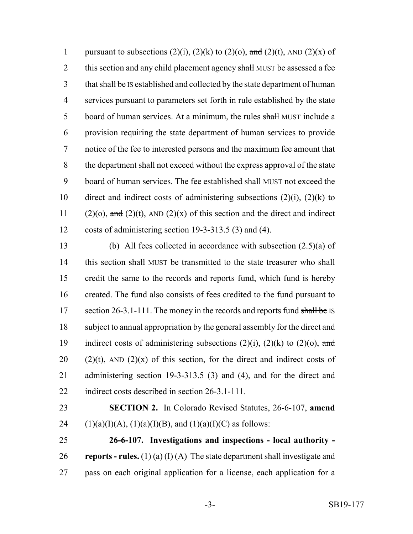1 pursuant to subsections  $(2)(i)$ ,  $(2)(k)$  to  $(2)(o)$ , and  $(2)(t)$ , AND  $(2)(x)$  of 2 this section and any child placement agency shall MUST be assessed a fee 3 that shall be IS established and collected by the state department of human 4 services pursuant to parameters set forth in rule established by the state 5 board of human services. At a minimum, the rules shall MUST include a 6 provision requiring the state department of human services to provide 7 notice of the fee to interested persons and the maximum fee amount that 8 the department shall not exceed without the express approval of the state 9 board of human services. The fee established shall MUST not exceed the 10 direct and indirect costs of administering subsections  $(2)(i)$ ,  $(2)(k)$  to 11 (2)(o), and (2)(t), AND (2)(x) of this section and the direct and indirect 12 costs of administering section 19-3-313.5 (3) and (4).

13 (b) All fees collected in accordance with subsection (2.5)(a) of 14 this section shall MUST be transmitted to the state treasurer who shall 15 credit the same to the records and reports fund, which fund is hereby 16 created. The fund also consists of fees credited to the fund pursuant to 17 section 26-3.1-111. The money in the records and reports fund shall be IS 18 subject to annual appropriation by the general assembly for the direct and 19 indirect costs of administering subsections  $(2)(i)$ ,  $(2)(k)$  to  $(2)(o)$ , and 20 (2)(t), AND (2)(x) of this section, for the direct and indirect costs of 21 administering section 19-3-313.5 (3) and (4), and for the direct and 22 indirect costs described in section 26-3.1-111.

- 23 **SECTION 2.** In Colorado Revised Statutes, 26-6-107, **amend** 24 (1)(a)(I)(A), (1)(a)(I)(B), and (1)(a)(I)(C) as follows:
- 25 **26-6-107. Investigations and inspections local authority -** 26 **reports - rules.** (1) (a) (I) (A) The state department shall investigate and 27 pass on each original application for a license, each application for a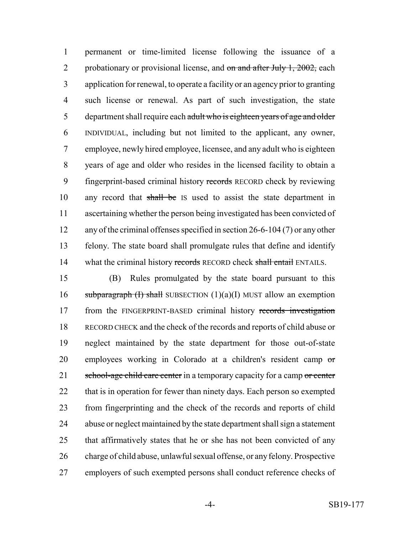permanent or time-limited license following the issuance of a 2 probationary or provisional license, and  $\sigma n$  and after July 1, 2002, each application for renewal, to operate a facility or an agency prior to granting such license or renewal. As part of such investigation, the state 5 department shall require each adult who is eighteen years of age and older INDIVIDUAL, including but not limited to the applicant, any owner, employee, newly hired employee, licensee, and any adult who is eighteen years of age and older who resides in the licensed facility to obtain a fingerprint-based criminal history records RECORD check by reviewing 10 any record that shall be IS used to assist the state department in ascertaining whether the person being investigated has been convicted of any of the criminal offenses specified in section 26-6-104 (7) or any other felony. The state board shall promulgate rules that define and identify 14 what the criminal history records RECORD check shall entail ENTAILS.

 (B) Rules promulgated by the state board pursuant to this 16 subparagraph (I) shall SUBSECTION  $(1)(a)(I)$  MUST allow an exemption 17 from the FINGERPRINT-BASED criminal history records investigation RECORD CHECK and the check of the records and reports of child abuse or neglect maintained by the state department for those out-of-state employees working in Colorado at a children's resident camp or 21 school-age child care center in a temporary capacity for a camp or center 22 that is in operation for fewer than ninety days. Each person so exempted from fingerprinting and the check of the records and reports of child abuse or neglect maintained by the state department shall sign a statement that affirmatively states that he or she has not been convicted of any charge of child abuse, unlawful sexual offense, or any felony. Prospective employers of such exempted persons shall conduct reference checks of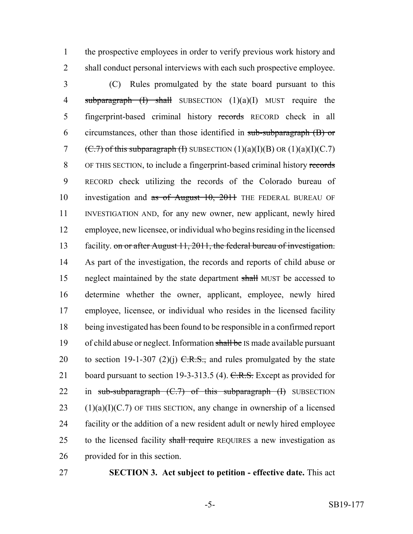the prospective employees in order to verify previous work history and shall conduct personal interviews with each such prospective employee.

 (C) Rules promulgated by the state board pursuant to this 4 subparagraph  $(I)$  shall SUBSECTION  $(1)(a)(I)$  MUST require the fingerprint-based criminal history records RECORD check in all circumstances, other than those identified in sub-subparagraph (B) or 7 (C.7) of this subparagraph (I) SUBSECTION  $(1)(a)(I)(B)$  OR  $(1)(a)(I)(C.7)$  OF THIS SECTION, to include a fingerprint-based criminal history records RECORD check utilizing the records of the Colorado bureau of 10 investigation and as of August 10, 2011 THE FEDERAL BUREAU OF INVESTIGATION AND, for any new owner, new applicant, newly hired employee, new licensee, or individual who begins residing in the licensed facility. on or after August 11, 2011, the federal bureau of investigation. As part of the investigation, the records and reports of child abuse or 15 neglect maintained by the state department shall MUST be accessed to determine whether the owner, applicant, employee, newly hired employee, licensee, or individual who resides in the licensed facility being investigated has been found to be responsible in a confirmed report 19 of child abuse or neglect. Information shall be IS made available pursuant 20 to section 19-1-307 (2)(j)  $C.R.S.,$  and rules promulgated by the state 21 board pursuant to section 19-3-313.5 (4). C.R.S. Except as provided for 22 in sub-subparagraph  $(C.7)$  of this subparagraph  $(H)$  SUBSECTION  $(1)(a)(I)(C.7)$  OF THIS SECTION, any change in ownership of a licensed facility or the addition of a new resident adult or newly hired employee 25 to the licensed facility shall require REQUIRES a new investigation as provided for in this section.

**SECTION 3. Act subject to petition - effective date.** This act